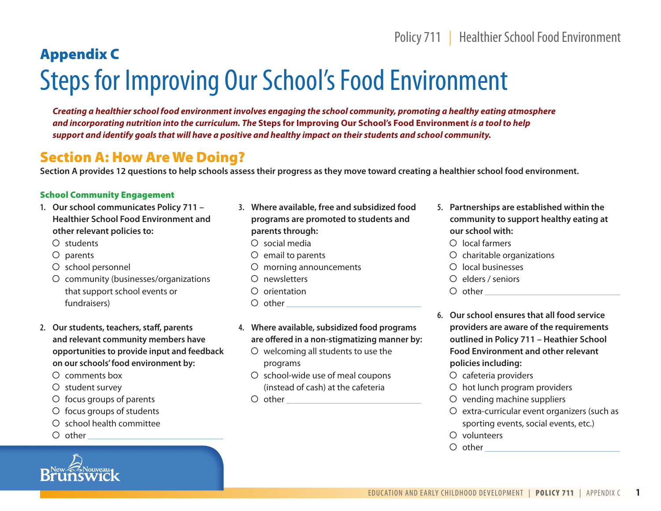## Policy 711 | Healthier School Food Environment

# Appendix C Steps for Improving Our School's Food Environment

*Creating a healthier school food environment involves engaging the school community, promoting a healthy eating atmosphere and incorporating nutrition into the curriculum. The* **Steps for Improving Our School's Food Environment** *is a tool to help support and identify goals that will have a positive and healthy impact on their students and school community.*

## Section A: How Are We Doing?

**Section A provides 12 questions to help schools assess their progress as they move toward creating a healthier school food environment.**

#### School Community Engagement

- **1. Our school communicates Policy 711 – Healthier School Food Environment and other relevant policies to:**
	- $O$  students
	- $O$  parents
	- O school personnel
	- community (businesses/organizations that support school events or fundraisers)
- **2. Our students, teachers, staff, parents and relevant community members have opportunities to provide input and feedback on our schools' food environment by:**
	- $\Omega$  comments box
	- $\bigcirc$  student survey
	- $\circ$  focus groups of parents
	- $O$  focus groups of students
	- school health committee
	- $\circ$  other



- $\circ$  social media
- $O$  email to parents
- O morning announcements
- O newsletters
- $\Omega$  orientation
- O other
- **4. Where available, subsidized food programs are offered in a non-stigmatizing manner by:**
	- $\circ$  welcoming all students to use the programs
	- O school-wide use of meal coupons (instead of cash) at the cafeteria
	- $\bigcirc$  other  $\bigcirc$
- **5. Partnerships are established within the community to support healthy eating at our school with:**
	- $O$  local farmers
	- $O$  charitable organizations
	- $\Omega$  local businesses
	- $O$  elders / seniors
	- other
- **6. Our school ensures that all food service providers are aware of the requirements outlined in Policy 711 – Heathier School Food Environment and other relevant policies including:**
	- O cafeteria providers
	- O hot lunch program providers
	- $\circ$  vending machine suppliers
	- $O$  extra-curricular event organizers (such as sporting events, social events, etc.)
	- $O$  volunteers
	- other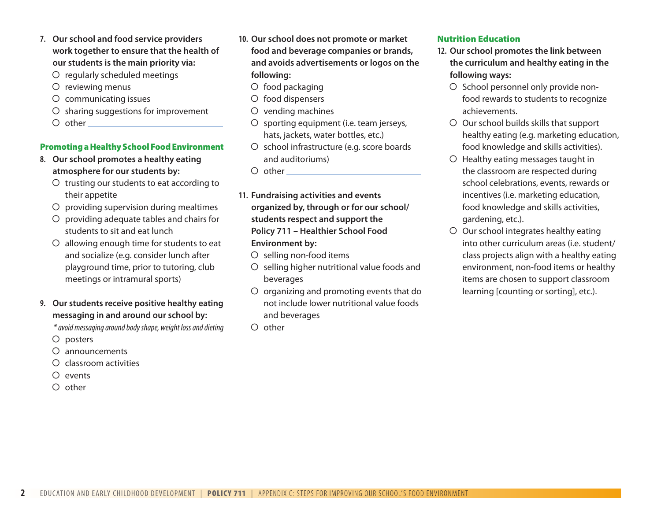- **7. Our school and food service providers work together to ensure that the health of our students is the main priority via:**
	- O regularly scheduled meetings
	- $O$  reviewing menus
	- communicating issues
	- $O$  sharing suggestions for improvement
	- $\circ$  other

#### Promoting a Healthy School Food Environment

- **8. Our school promotes a healthy eating atmosphere for our students by:**
	- $\circ$  trusting our students to eat according to their appetite
	- $O$  providing supervision during mealtimes
	- $O$  providing adequate tables and chairs for students to sit and eat lunch
	- allowing enough time for students to eat and socialize (e.g. consider lunch after playground time, prior to tutoring, club meetings or intramural sports)
- **9. Our students receive positive healthy eating messaging in and around our school by:**

*\* avoid messaging around body shape, weight loss and dieting*

- O posters
- announcements
- $\circ$  classroom activities
- $O$  events
- $\circ$  other
- **10. Our school does not promote or market food and beverage companies or brands, and avoids advertisements or logos on the following:**
	- $O$  food packaging
	- $O$  food dispensers
	- $O$  vending machines
	- O sporting equipment (i.e. team jerseys, hats, jackets, water bottles, etc.)
	- O school infrastructure (e.g. score boards and auditoriums)
	- $O$  other

**11. Fundraising activities and events organized by, through or for our school/ students respect and support the Policy 711 – Healthier School Food Environment by:**

- $O$  selling non-food items
- $O$  selling higher nutritional value foods and beverages
- $O$  organizing and promoting events that do not include lower nutritional value foods and beverages
- $\circ$  other

### Nutrition Education

- **12. Our school promotes the link between the curriculum and healthy eating in the following ways:**
	- O School personnel only provide nonfood rewards to students to recognize achievements.
	- $\circ$  Our school builds skills that support healthy eating (e.g. marketing education, food knowledge and skills activities).
	- O Healthy eating messages taught in the classroom are respected during school celebrations, events, rewards or incentives (i.e. marketing education, food knowledge and skills activities, gardening, etc.).
	- $O$  Our school integrates healthy eating into other curriculum areas (i.e. student/ class projects align with a healthy eating environment, non-food items or healthy items are chosen to support classroom learning [counting or sorting], etc.).